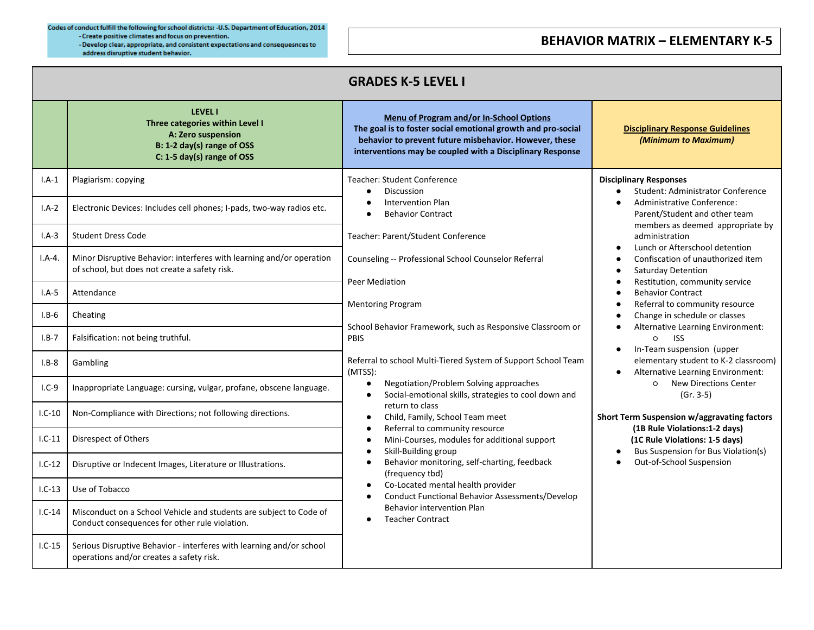Codes of conduct fulfill the following for school districts: - U.S. Department of Education, 2014 - Create positive climates and focus on prevention. - Develop clear, appropriate, and consistent expectations and consequesnces to address disruptive student behavior.

## **BEHAVIOR MATRIX – ELEMENTARY K-5**

| <b>GRADES K-5 LEVEL I</b> |                                                                                                                                     |                                                                                                                                                                                                                                                                                                                                                                                                                                                                                                                                                                                                                       |                                                                                                                                                                                                                                                                                                                                                                                                                                                                                                                                                                                                                                                                                                                                                                                                                                                                                     |  |  |  |
|---------------------------|-------------------------------------------------------------------------------------------------------------------------------------|-----------------------------------------------------------------------------------------------------------------------------------------------------------------------------------------------------------------------------------------------------------------------------------------------------------------------------------------------------------------------------------------------------------------------------------------------------------------------------------------------------------------------------------------------------------------------------------------------------------------------|-------------------------------------------------------------------------------------------------------------------------------------------------------------------------------------------------------------------------------------------------------------------------------------------------------------------------------------------------------------------------------------------------------------------------------------------------------------------------------------------------------------------------------------------------------------------------------------------------------------------------------------------------------------------------------------------------------------------------------------------------------------------------------------------------------------------------------------------------------------------------------------|--|--|--|
|                           | <b>LEVEL I</b><br>Three categories within Level I<br>A: Zero suspension<br>B: 1-2 day(s) range of OSS<br>C: 1-5 day(s) range of OSS | Menu of Program and/or In-School Options<br>The goal is to foster social emotional growth and pro-social<br>behavior to prevent future misbehavior. However, these<br>interventions may be coupled with a Disciplinary Response                                                                                                                                                                                                                                                                                                                                                                                       | <b>Disciplinary Response Guidelines</b><br>(Minimum to Maximum)                                                                                                                                                                                                                                                                                                                                                                                                                                                                                                                                                                                                                                                                                                                                                                                                                     |  |  |  |
| $I.A-1$                   | Plagiarism: copying                                                                                                                 | <b>Teacher: Student Conference</b><br>Discussion<br>$\bullet$                                                                                                                                                                                                                                                                                                                                                                                                                                                                                                                                                         | <b>Disciplinary Responses</b><br>Student: Administrator Conference<br>Administrative Conference:<br>Parent/Student and other team<br>members as deemed appropriate by<br>administration<br>Lunch or Afterschool detention<br>Confiscation of unauthorized item<br>Saturday Detention<br>$\bullet$<br>Restitution, community service<br>$\bullet$<br><b>Behavior Contract</b><br>Referral to community resource<br>Change in schedule or classes<br>Alternative Learning Environment:<br>$\circ$<br><b>ISS</b><br>In-Team suspension (upper<br>elementary student to K-2 classroom)<br>Alternative Learning Environment:<br>$\circ$<br><b>New Directions Center</b><br>$(Gr. 3-5)$<br>Short Term Suspension w/aggravating factors<br>(1B Rule Violations:1-2 days)<br>(1C Rule Violations: 1-5 days)<br>Bus Suspension for Bus Violation(s)<br>$\bullet$<br>Out-of-School Suspension |  |  |  |
| $I.A-2$                   | Electronic Devices: Includes cell phones; I-pads, two-way radios etc.                                                               | <b>Intervention Plan</b><br>$\bullet$<br><b>Behavior Contract</b><br>$\bullet$                                                                                                                                                                                                                                                                                                                                                                                                                                                                                                                                        |                                                                                                                                                                                                                                                                                                                                                                                                                                                                                                                                                                                                                                                                                                                                                                                                                                                                                     |  |  |  |
| $I.A-3$                   | <b>Student Dress Code</b>                                                                                                           | Teacher: Parent/Student Conference                                                                                                                                                                                                                                                                                                                                                                                                                                                                                                                                                                                    |                                                                                                                                                                                                                                                                                                                                                                                                                                                                                                                                                                                                                                                                                                                                                                                                                                                                                     |  |  |  |
| $I.A-4.$                  | Minor Disruptive Behavior: interferes with learning and/or operation<br>of school, but does not create a safety risk.               | Counseling -- Professional School Counselor Referral<br>Peer Mediation<br><b>Mentoring Program</b><br>School Behavior Framework, such as Responsive Classroom or<br>PBIS                                                                                                                                                                                                                                                                                                                                                                                                                                              |                                                                                                                                                                                                                                                                                                                                                                                                                                                                                                                                                                                                                                                                                                                                                                                                                                                                                     |  |  |  |
| $I.A-5$                   | Attendance                                                                                                                          |                                                                                                                                                                                                                                                                                                                                                                                                                                                                                                                                                                                                                       |                                                                                                                                                                                                                                                                                                                                                                                                                                                                                                                                                                                                                                                                                                                                                                                                                                                                                     |  |  |  |
| $I.B-6$                   | Cheating                                                                                                                            |                                                                                                                                                                                                                                                                                                                                                                                                                                                                                                                                                                                                                       |                                                                                                                                                                                                                                                                                                                                                                                                                                                                                                                                                                                                                                                                                                                                                                                                                                                                                     |  |  |  |
| $I.B-7$                   | Falsification: not being truthful.                                                                                                  |                                                                                                                                                                                                                                                                                                                                                                                                                                                                                                                                                                                                                       |                                                                                                                                                                                                                                                                                                                                                                                                                                                                                                                                                                                                                                                                                                                                                                                                                                                                                     |  |  |  |
| $I.B-8$                   | Gambling                                                                                                                            | Referral to school Multi-Tiered System of Support School Team<br>(MTSS):                                                                                                                                                                                                                                                                                                                                                                                                                                                                                                                                              |                                                                                                                                                                                                                                                                                                                                                                                                                                                                                                                                                                                                                                                                                                                                                                                                                                                                                     |  |  |  |
| $I.C-9$                   | Inappropriate Language: cursing, vulgar, profane, obscene language.                                                                 | Negotiation/Problem Solving approaches<br>$\bullet$<br>Social-emotional skills, strategies to cool down and<br>$\bullet$<br>return to class<br>Child, Family, School Team meet<br>$\bullet$<br>Referral to community resource<br>$\bullet$<br>Mini-Courses, modules for additional support<br>$\bullet$<br>Skill-Building group<br>$\bullet$<br>Behavior monitoring, self-charting, feedback<br>$\bullet$<br>(frequency tbd)<br>Co-Located mental health provider<br>$\bullet$<br><b>Conduct Functional Behavior Assessments/Develop</b><br>$\bullet$<br><b>Behavior intervention Plan</b><br><b>Teacher Contract</b> |                                                                                                                                                                                                                                                                                                                                                                                                                                                                                                                                                                                                                                                                                                                                                                                                                                                                                     |  |  |  |
| $I.C-10$                  | Non-Compliance with Directions; not following directions.                                                                           |                                                                                                                                                                                                                                                                                                                                                                                                                                                                                                                                                                                                                       |                                                                                                                                                                                                                                                                                                                                                                                                                                                                                                                                                                                                                                                                                                                                                                                                                                                                                     |  |  |  |
| $1.C-11$                  | Disrespect of Others                                                                                                                |                                                                                                                                                                                                                                                                                                                                                                                                                                                                                                                                                                                                                       |                                                                                                                                                                                                                                                                                                                                                                                                                                                                                                                                                                                                                                                                                                                                                                                                                                                                                     |  |  |  |
| $1.C-12$                  | Disruptive or Indecent Images, Literature or Illustrations.                                                                         |                                                                                                                                                                                                                                                                                                                                                                                                                                                                                                                                                                                                                       |                                                                                                                                                                                                                                                                                                                                                                                                                                                                                                                                                                                                                                                                                                                                                                                                                                                                                     |  |  |  |
| $1.C-13$                  | Use of Tobacco                                                                                                                      |                                                                                                                                                                                                                                                                                                                                                                                                                                                                                                                                                                                                                       |                                                                                                                                                                                                                                                                                                                                                                                                                                                                                                                                                                                                                                                                                                                                                                                                                                                                                     |  |  |  |
| $I.C-14$                  | Misconduct on a School Vehicle and students are subject to Code of<br>Conduct consequences for other rule violation.                |                                                                                                                                                                                                                                                                                                                                                                                                                                                                                                                                                                                                                       |                                                                                                                                                                                                                                                                                                                                                                                                                                                                                                                                                                                                                                                                                                                                                                                                                                                                                     |  |  |  |
| $1.C-15$                  | Serious Disruptive Behavior - interferes with learning and/or school<br>operations and/or creates a safety risk.                    |                                                                                                                                                                                                                                                                                                                                                                                                                                                                                                                                                                                                                       |                                                                                                                                                                                                                                                                                                                                                                                                                                                                                                                                                                                                                                                                                                                                                                                                                                                                                     |  |  |  |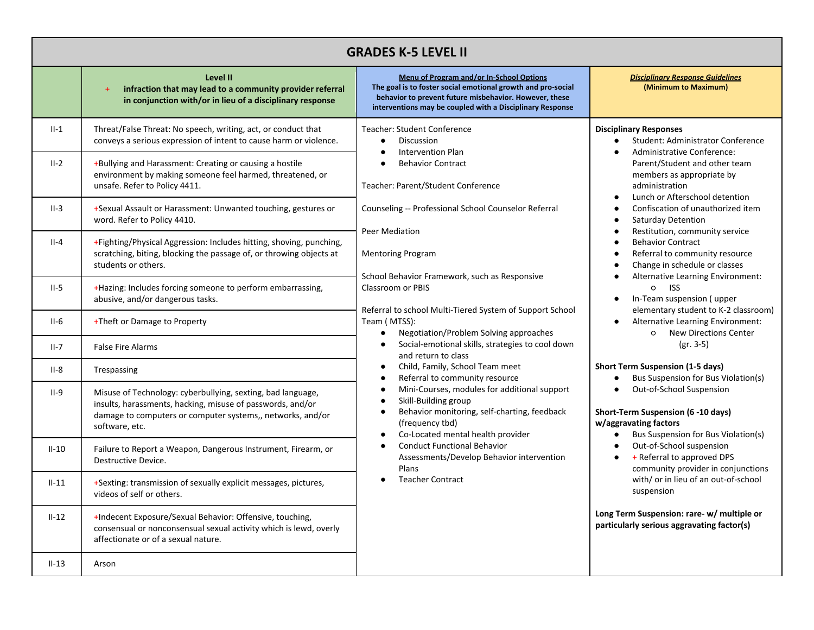| <b>GRADES K-5 LEVEL II</b> |                                                                                                                                                                                                           |                                                                                                                                                                                                                                                                                                                                                                                                                                                                                                                                                                                                                                                                                                                                                                                                                                                                                                                                                                                            |                                                                                                                                                                                                                                                                                                                                                                                                                                                                                                                                                                                                                                                                                                                                                                                                                                                                                                                                                                                                                                                                                                                                |  |
|----------------------------|-----------------------------------------------------------------------------------------------------------------------------------------------------------------------------------------------------------|--------------------------------------------------------------------------------------------------------------------------------------------------------------------------------------------------------------------------------------------------------------------------------------------------------------------------------------------------------------------------------------------------------------------------------------------------------------------------------------------------------------------------------------------------------------------------------------------------------------------------------------------------------------------------------------------------------------------------------------------------------------------------------------------------------------------------------------------------------------------------------------------------------------------------------------------------------------------------------------------|--------------------------------------------------------------------------------------------------------------------------------------------------------------------------------------------------------------------------------------------------------------------------------------------------------------------------------------------------------------------------------------------------------------------------------------------------------------------------------------------------------------------------------------------------------------------------------------------------------------------------------------------------------------------------------------------------------------------------------------------------------------------------------------------------------------------------------------------------------------------------------------------------------------------------------------------------------------------------------------------------------------------------------------------------------------------------------------------------------------------------------|--|
|                            | Level II<br>infraction that may lead to a community provider referral<br>$\ddot{\phantom{1}}$<br>in conjunction with/or in lieu of a disciplinary response                                                | Menu of Program and/or In-School Options<br>The goal is to foster social emotional growth and pro-social<br>behavior to prevent future misbehavior. However, these<br>interventions may be coupled with a Disciplinary Response                                                                                                                                                                                                                                                                                                                                                                                                                                                                                                                                                                                                                                                                                                                                                            | <b>Disciplinary Response Guidelines</b><br>(Minimum to Maximum)                                                                                                                                                                                                                                                                                                                                                                                                                                                                                                                                                                                                                                                                                                                                                                                                                                                                                                                                                                                                                                                                |  |
| $II-1$                     | Threat/False Threat: No speech, writing, act, or conduct that<br>conveys a serious expression of intent to cause harm or violence.                                                                        | Teacher: Student Conference<br><b>Discussion</b><br>$\bullet$<br><b>Intervention Plan</b><br>$\bullet$<br><b>Behavior Contract</b><br>Teacher: Parent/Student Conference<br>Counseling -- Professional School Counselor Referral<br>Peer Mediation<br><b>Mentoring Program</b><br>School Behavior Framework, such as Responsive<br>Classroom or PBIS<br>Referral to school Multi-Tiered System of Support School<br>Team (MTSS):<br>Negotiation/Problem Solving approaches<br>Social-emotional skills, strategies to cool down<br>$\bullet$<br>and return to class<br>Child, Family, School Team meet<br>$\bullet$<br>Referral to community resource<br>Mini-Courses, modules for additional support<br>$\bullet$<br>Skill-Building group<br>$\bullet$<br>Behavior monitoring, self-charting, feedback<br>٠<br>(frequency tbd)<br>Co-Located mental health provider<br><b>Conduct Functional Behavior</b><br>Assessments/Develop Behavior intervention<br>Plans<br><b>Teacher Contract</b> | <b>Disciplinary Responses</b><br><b>Student: Administrator Conference</b><br>Administrative Conference:<br>Parent/Student and other team<br>members as appropriate by<br>administration<br>Lunch or Afterschool detention<br>Confiscation of unauthorized item<br><b>Saturday Detention</b><br>Restitution, community service<br><b>Behavior Contract</b><br>Referral to community resource<br>Change in schedule or classes<br>Alternative Learning Environment:<br><b>ISS</b><br>$\circ$<br>In-Team suspension (upper<br>elementary student to K-2 classroom)<br>Alternative Learning Environment:<br><b>New Directions Center</b><br>O<br>$(gr. 3-5)$<br><b>Short Term Suspension (1-5 days)</b><br>Bus Suspension for Bus Violation(s)<br>Out-of-School Suspension<br>Short-Term Suspension (6 -10 days)<br>w/aggravating factors<br>Bus Suspension for Bus Violation(s)<br>Out-of-School suspension<br>+ Referral to approved DPS<br>community provider in conjunctions<br>with/ or in lieu of an out-of-school<br>suspension<br>Long Term Suspension: rare- w/ multiple or<br>particularly serious aggravating factor(s) |  |
| $II-2$                     | +Bullying and Harassment: Creating or causing a hostile<br>environment by making someone feel harmed, threatened, or<br>unsafe. Refer to Policy 4411.                                                     |                                                                                                                                                                                                                                                                                                                                                                                                                                                                                                                                                                                                                                                                                                                                                                                                                                                                                                                                                                                            |                                                                                                                                                                                                                                                                                                                                                                                                                                                                                                                                                                                                                                                                                                                                                                                                                                                                                                                                                                                                                                                                                                                                |  |
| $II-3$                     | +Sexual Assault or Harassment: Unwanted touching, gestures or<br>word. Refer to Policy 4410.                                                                                                              |                                                                                                                                                                                                                                                                                                                                                                                                                                                                                                                                                                                                                                                                                                                                                                                                                                                                                                                                                                                            |                                                                                                                                                                                                                                                                                                                                                                                                                                                                                                                                                                                                                                                                                                                                                                                                                                                                                                                                                                                                                                                                                                                                |  |
| II-4                       | +Fighting/Physical Aggression: Includes hitting, shoving, punching,<br>scratching, biting, blocking the passage of, or throwing objects at<br>students or others.                                         |                                                                                                                                                                                                                                                                                                                                                                                                                                                                                                                                                                                                                                                                                                                                                                                                                                                                                                                                                                                            |                                                                                                                                                                                                                                                                                                                                                                                                                                                                                                                                                                                                                                                                                                                                                                                                                                                                                                                                                                                                                                                                                                                                |  |
| $II-5$                     | +Hazing: Includes forcing someone to perform embarrassing,<br>abusive, and/or dangerous tasks.                                                                                                            |                                                                                                                                                                                                                                                                                                                                                                                                                                                                                                                                                                                                                                                                                                                                                                                                                                                                                                                                                                                            |                                                                                                                                                                                                                                                                                                                                                                                                                                                                                                                                                                                                                                                                                                                                                                                                                                                                                                                                                                                                                                                                                                                                |  |
| $II-6$                     | +Theft or Damage to Property                                                                                                                                                                              |                                                                                                                                                                                                                                                                                                                                                                                                                                                                                                                                                                                                                                                                                                                                                                                                                                                                                                                                                                                            |                                                                                                                                                                                                                                                                                                                                                                                                                                                                                                                                                                                                                                                                                                                                                                                                                                                                                                                                                                                                                                                                                                                                |  |
| II-7                       | <b>False Fire Alarms</b>                                                                                                                                                                                  |                                                                                                                                                                                                                                                                                                                                                                                                                                                                                                                                                                                                                                                                                                                                                                                                                                                                                                                                                                                            |                                                                                                                                                                                                                                                                                                                                                                                                                                                                                                                                                                                                                                                                                                                                                                                                                                                                                                                                                                                                                                                                                                                                |  |
| II-8                       | Trespassing                                                                                                                                                                                               |                                                                                                                                                                                                                                                                                                                                                                                                                                                                                                                                                                                                                                                                                                                                                                                                                                                                                                                                                                                            |                                                                                                                                                                                                                                                                                                                                                                                                                                                                                                                                                                                                                                                                                                                                                                                                                                                                                                                                                                                                                                                                                                                                |  |
| $II-9$                     | Misuse of Technology: cyberbullying, sexting, bad language,<br>insults, harassments, hacking, misuse of passwords, and/or<br>damage to computers or computer systems,, networks, and/or<br>software, etc. |                                                                                                                                                                                                                                                                                                                                                                                                                                                                                                                                                                                                                                                                                                                                                                                                                                                                                                                                                                                            |                                                                                                                                                                                                                                                                                                                                                                                                                                                                                                                                                                                                                                                                                                                                                                                                                                                                                                                                                                                                                                                                                                                                |  |
| $II-10$                    | Failure to Report a Weapon, Dangerous Instrument, Firearm, or<br>Destructive Device.                                                                                                                      |                                                                                                                                                                                                                                                                                                                                                                                                                                                                                                                                                                                                                                                                                                                                                                                                                                                                                                                                                                                            |                                                                                                                                                                                                                                                                                                                                                                                                                                                                                                                                                                                                                                                                                                                                                                                                                                                                                                                                                                                                                                                                                                                                |  |
| $II-11$                    | +Sexting: transmission of sexually explicit messages, pictures,<br>videos of self or others.                                                                                                              |                                                                                                                                                                                                                                                                                                                                                                                                                                                                                                                                                                                                                                                                                                                                                                                                                                                                                                                                                                                            |                                                                                                                                                                                                                                                                                                                                                                                                                                                                                                                                                                                                                                                                                                                                                                                                                                                                                                                                                                                                                                                                                                                                |  |
| $II-12$                    | +Indecent Exposure/Sexual Behavior: Offensive, touching,<br>consensual or nonconsensual sexual activity which is lewd, overly<br>affectionate or of a sexual nature.                                      |                                                                                                                                                                                                                                                                                                                                                                                                                                                                                                                                                                                                                                                                                                                                                                                                                                                                                                                                                                                            |                                                                                                                                                                                                                                                                                                                                                                                                                                                                                                                                                                                                                                                                                                                                                                                                                                                                                                                                                                                                                                                                                                                                |  |
| $II-13$                    | Arson                                                                                                                                                                                                     |                                                                                                                                                                                                                                                                                                                                                                                                                                                                                                                                                                                                                                                                                                                                                                                                                                                                                                                                                                                            |                                                                                                                                                                                                                                                                                                                                                                                                                                                                                                                                                                                                                                                                                                                                                                                                                                                                                                                                                                                                                                                                                                                                |  |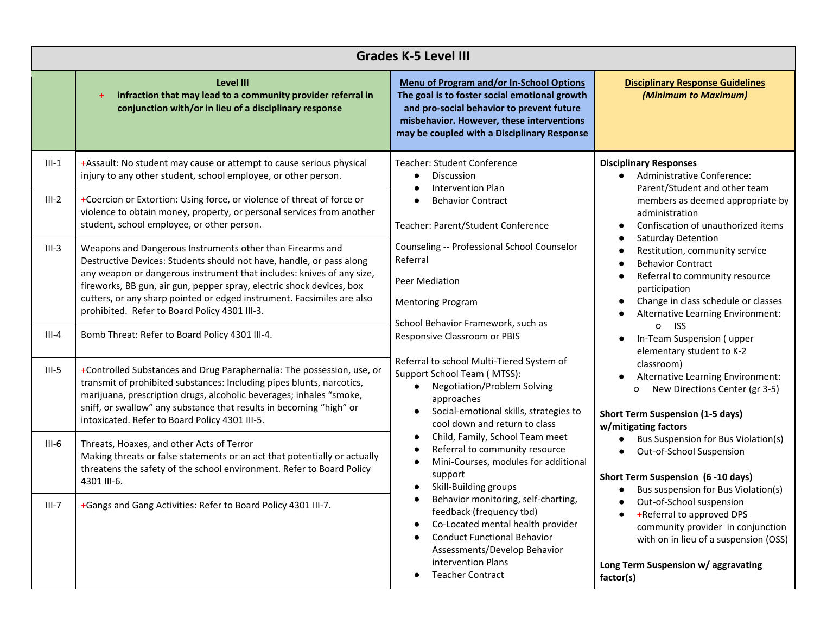| <b>Grades K-5 Level III</b> |                                                                                                                                                                                                                                                                                                                                                                                                                |                                                                                                                                                                                                                                                                                                                                                                                                                                                                                                                                                                                                                                                                                                                                                                                                                                                                                                                                                                      |                                                                                                                                                                                                                                                                                                                                                                                                                                                                                                |  |
|-----------------------------|----------------------------------------------------------------------------------------------------------------------------------------------------------------------------------------------------------------------------------------------------------------------------------------------------------------------------------------------------------------------------------------------------------------|----------------------------------------------------------------------------------------------------------------------------------------------------------------------------------------------------------------------------------------------------------------------------------------------------------------------------------------------------------------------------------------------------------------------------------------------------------------------------------------------------------------------------------------------------------------------------------------------------------------------------------------------------------------------------------------------------------------------------------------------------------------------------------------------------------------------------------------------------------------------------------------------------------------------------------------------------------------------|------------------------------------------------------------------------------------------------------------------------------------------------------------------------------------------------------------------------------------------------------------------------------------------------------------------------------------------------------------------------------------------------------------------------------------------------------------------------------------------------|--|
|                             | <b>Level III</b><br>infraction that may lead to a community provider referral in<br>conjunction with/or in lieu of a disciplinary response                                                                                                                                                                                                                                                                     | Menu of Program and/or In-School Options<br>The goal is to foster social emotional growth<br>and pro-social behavior to prevent future<br>misbehavior. However, these interventions<br>may be coupled with a Disciplinary Response                                                                                                                                                                                                                                                                                                                                                                                                                                                                                                                                                                                                                                                                                                                                   | <b>Disciplinary Response Guidelines</b><br>(Minimum to Maximum)                                                                                                                                                                                                                                                                                                                                                                                                                                |  |
| $III-1$                     | +Assault: No student may cause or attempt to cause serious physical<br>injury to any other student, school employee, or other person.                                                                                                                                                                                                                                                                          | <b>Teacher: Student Conference</b><br>Discussion<br>$\bullet$<br><b>Intervention Plan</b><br><b>Behavior Contract</b><br>Teacher: Parent/Student Conference<br>Counseling -- Professional School Counselor<br>Referral<br>$\bullet$<br>Peer Mediation<br><b>Mentoring Program</b><br>School Behavior Framework, such as<br>Responsive Classroom or PBIS<br>Referral to school Multi-Tiered System of<br>Support School Team (MTSS):<br><b>Negotiation/Problem Solving</b><br>O<br>approaches<br>Social-emotional skills, strategies to<br>cool down and return to class<br>Child, Family, School Team meet<br>Referral to community resource<br>Mini-Courses, modules for additional<br>support<br>Skill-Building groups<br>Behavior monitoring, self-charting,<br>feedback (frequency tbd)<br>Co-Located mental health provider<br><b>Conduct Functional Behavior</b><br>Assessments/Develop Behavior<br>intervention Plans<br><b>Teacher Contract</b><br>factor(s) | <b>Disciplinary Responses</b><br>Administrative Conference:<br>Parent/Student and other team<br>members as deemed appropriate by<br>administration<br>Confiscation of unauthorized items<br>Saturday Detention<br>Restitution, community service<br><b>Behavior Contract</b><br>Referral to community resource<br>participation<br>Change in class schedule or classes<br>Alternative Learning Environment:<br>$\circ$<br><b>ISS</b><br>In-Team Suspension (upper<br>elementary student to K-2 |  |
| $III-2$                     | +Coercion or Extortion: Using force, or violence of threat of force or<br>violence to obtain money, property, or personal services from another<br>student, school employee, or other person.                                                                                                                                                                                                                  |                                                                                                                                                                                                                                                                                                                                                                                                                                                                                                                                                                                                                                                                                                                                                                                                                                                                                                                                                                      |                                                                                                                                                                                                                                                                                                                                                                                                                                                                                                |  |
| $III-3$                     | Weapons and Dangerous Instruments other than Firearms and<br>Destructive Devices: Students should not have, handle, or pass along<br>any weapon or dangerous instrument that includes: knives of any size,<br>fireworks, BB gun, air gun, pepper spray, electric shock devices, box<br>cutters, or any sharp pointed or edged instrument. Facsimiles are also<br>prohibited. Refer to Board Policy 4301 III-3. |                                                                                                                                                                                                                                                                                                                                                                                                                                                                                                                                                                                                                                                                                                                                                                                                                                                                                                                                                                      |                                                                                                                                                                                                                                                                                                                                                                                                                                                                                                |  |
| $III-4$                     | Bomb Threat: Refer to Board Policy 4301 III-4.                                                                                                                                                                                                                                                                                                                                                                 |                                                                                                                                                                                                                                                                                                                                                                                                                                                                                                                                                                                                                                                                                                                                                                                                                                                                                                                                                                      |                                                                                                                                                                                                                                                                                                                                                                                                                                                                                                |  |
| $III-5$                     | +Controlled Substances and Drug Paraphernalia: The possession, use, or<br>transmit of prohibited substances: Including pipes blunts, narcotics,<br>marijuana, prescription drugs, alcoholic beverages; inhales "smoke,<br>sniff, or swallow" any substance that results in becoming "high" or<br>intoxicated. Refer to Board Policy 4301 III-5.                                                                |                                                                                                                                                                                                                                                                                                                                                                                                                                                                                                                                                                                                                                                                                                                                                                                                                                                                                                                                                                      | classroom)<br>Alternative Learning Environment:<br>New Directions Center (gr 3-5)<br><b>Short Term Suspension (1-5 days)</b><br>w/mitigating factors                                                                                                                                                                                                                                                                                                                                           |  |
| $III-6$                     | Threats, Hoaxes, and other Acts of Terror<br>Making threats or false statements or an act that potentially or actually<br>threatens the safety of the school environment. Refer to Board Policy<br>4301 III-6.                                                                                                                                                                                                 |                                                                                                                                                                                                                                                                                                                                                                                                                                                                                                                                                                                                                                                                                                                                                                                                                                                                                                                                                                      | Bus Suspension for Bus Violation(s)<br>Out-of-School Suspension<br>Short Term Suspension (6-10 days)<br>Bus suspension for Bus Violation(s)                                                                                                                                                                                                                                                                                                                                                    |  |
| $III-7$                     | +Gangs and Gang Activities: Refer to Board Policy 4301 III-7.                                                                                                                                                                                                                                                                                                                                                  |                                                                                                                                                                                                                                                                                                                                                                                                                                                                                                                                                                                                                                                                                                                                                                                                                                                                                                                                                                      | Out-of-School suspension<br>+Referral to approved DPS<br>community provider in conjunction<br>with on in lieu of a suspension (OSS)<br>Long Term Suspension w/ aggravating                                                                                                                                                                                                                                                                                                                     |  |